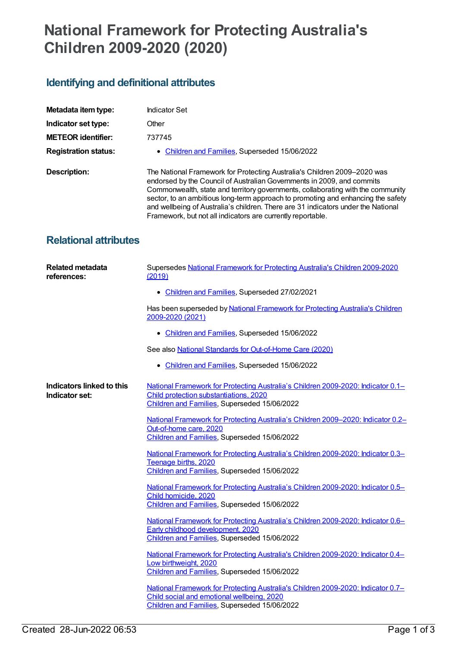## **National Framework for Protecting Australia's Children 2009-2020 (2020)**

## **Identifying and definitional attributes**

| Metadata item type:          | Indicator Set                                                                                                                                                                                                                                                                                                                                                                                                                                                                 |
|------------------------------|-------------------------------------------------------------------------------------------------------------------------------------------------------------------------------------------------------------------------------------------------------------------------------------------------------------------------------------------------------------------------------------------------------------------------------------------------------------------------------|
| Indicator set type:          | Other                                                                                                                                                                                                                                                                                                                                                                                                                                                                         |
| <b>METEOR identifier:</b>    | 737745                                                                                                                                                                                                                                                                                                                                                                                                                                                                        |
| <b>Registration status:</b>  | • Children and Families, Superseded 15/06/2022                                                                                                                                                                                                                                                                                                                                                                                                                                |
| Description:                 | The National Framework for Protecting Australia's Children 2009-2020 was<br>endorsed by the Council of Australian Governments in 2009, and commits<br>Commonwealth, state and territory governments, collaborating with the community<br>sector, to an ambitious long-term approach to promoting and enhancing the safety<br>and wellbeing of Australia's children. There are 31 indicators under the National<br>Framework, but not all indicators are currently reportable. |
| <b>Relational attributes</b> |                                                                                                                                                                                                                                                                                                                                                                                                                                                                               |

| <b>Related metadata</b><br>references:      | Supersedes National Framework for Protecting Australia's Children 2009-2020<br>(2019)                                                                                          |
|---------------------------------------------|--------------------------------------------------------------------------------------------------------------------------------------------------------------------------------|
|                                             | • Children and Families, Superseded 27/02/2021                                                                                                                                 |
|                                             | Has been superseded by National Framework for Protecting Australia's Children<br>2009-2020 (2021)                                                                              |
|                                             | • Children and Families, Superseded 15/06/2022                                                                                                                                 |
|                                             | See also National Standards for Out-of-Home Care (2020)                                                                                                                        |
|                                             | • Children and Families, Superseded 15/06/2022                                                                                                                                 |
| Indicators linked to this<br>Indicator set: | National Framework for Protecting Australia's Children 2009-2020: Indicator 0.1-<br>Child protection substantiations, 2020<br>Children and Families, Superseded 15/06/2022     |
|                                             | National Framework for Protecting Australia's Children 2009-2020: Indicator 0.2-<br>Out-of-home care, 2020<br>Children and Families, Superseded 15/06/2022                     |
|                                             | National Framework for Protecting Australia's Children 2009-2020: Indicator 0.3-<br>Teenage births, 2020<br>Children and Families, Superseded 15/06/2022                       |
|                                             | National Framework for Protecting Australia's Children 2009-2020: Indicator 0.5-<br>Child homicide, 2020<br>Children and Families, Superseded 15/06/2022                       |
|                                             | National Framework for Protecting Australia's Children 2009-2020: Indicator 0.6-<br>Early childhood development, 2020<br>Children and Families, Superseded 15/06/2022          |
|                                             | National Framework for Protecting Australia's Children 2009-2020: Indicator 0.4-<br>Low birthweight, 2020<br>Children and Families, Superseded 15/06/2022                      |
|                                             | National Framework for Protecting Australia's Children 2009-2020: Indicator 0.7-<br>Child social and emotional wellbeing, 2020<br>Children and Families, Superseded 15/06/2022 |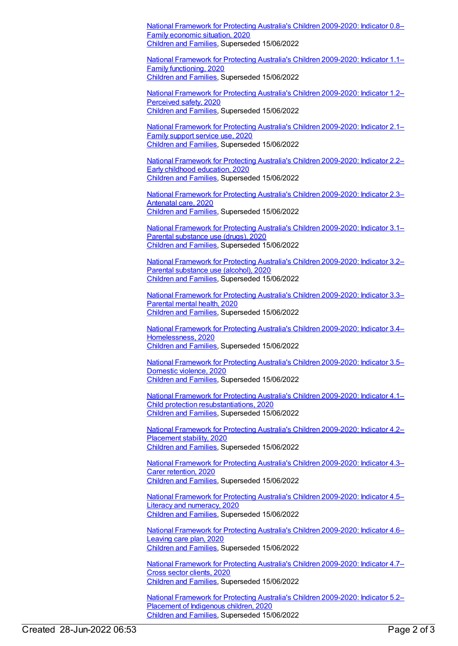National Framework for Protecting Australia's Children [2009-2020:](https://meteor.aihw.gov.au/content/738069) Indicator 0.8– Family economic situation, 2020 [Children](https://meteor.aihw.gov.au/RegistrationAuthority/17) and Families, Superseded 15/06/2022

National Framework for Protecting Australia's Children [2009-2020:](https://meteor.aihw.gov.au/content/738073) Indicator 1.1– Family functioning, 2020 [Children](https://meteor.aihw.gov.au/RegistrationAuthority/17) and Families, Superseded 15/06/2022

National Framework for Protecting Australia's Children [2009-2020:](https://meteor.aihw.gov.au/content/738075) Indicator 1.2– Perceived safety, 2020 [Children](https://meteor.aihw.gov.au/RegistrationAuthority/17) and Families, Superseded 15/06/2022

National Framework for Protecting Australia's Children [2009-2020:](https://meteor.aihw.gov.au/content/738090) Indicator 2.1– Family support service use, 2020 [Children](https://meteor.aihw.gov.au/RegistrationAuthority/17) and Families, Superseded 15/06/2022

National Framework for Protecting Australia's Children [2009-2020:](https://meteor.aihw.gov.au/content/738093) Indicator 2.2– Early childhood education, 2020 [Children](https://meteor.aihw.gov.au/RegistrationAuthority/17) and Families, Superseded 15/06/2022

National Framework for Protecting Australia's Children [2009-2020:](https://meteor.aihw.gov.au/content/738095) Indicator 2.3– Antenatal care, 2020 [Children](https://meteor.aihw.gov.au/RegistrationAuthority/17) and Families, Superseded 15/06/2022

National Framework for Protecting Australia's Children [2009-2020:](https://meteor.aihw.gov.au/content/738097) Indicator 3.1– Parental substance use (drugs), 2020 [Children](https://meteor.aihw.gov.au/RegistrationAuthority/17) and Families, Superseded 15/06/2022

National Framework for Protecting Australia's Children [2009-2020:](https://meteor.aihw.gov.au/content/738099) Indicator 3.2– Parental substance use (alcohol), 2020 [Children](https://meteor.aihw.gov.au/RegistrationAuthority/17) and Families, Superseded 15/06/2022

National Framework for Protecting Australia's Children [2009-2020:](https://meteor.aihw.gov.au/content/738101) Indicator 3.3– Parental mental health, 2020 [Children](https://meteor.aihw.gov.au/RegistrationAuthority/17) and Families, Superseded 15/06/2022

National Framework for Protecting Australia's Children 2009-2020: Indicator 3.4– [Homelessness,](https://meteor.aihw.gov.au/content/738104) 2020 [Children](https://meteor.aihw.gov.au/RegistrationAuthority/17) and Families, Superseded 15/06/2022

National Framework for Protecting Australia's Children [2009-2020:](https://meteor.aihw.gov.au/content/738111) Indicator 3.5– Domestic violence, 2020 [Children](https://meteor.aihw.gov.au/RegistrationAuthority/17) and Families, Superseded 15/06/2022

National Framework for Protecting Australia's Children 2009-2020: Indicator 4.1– Child protection [resubstantiations,](https://meteor.aihw.gov.au/content/738113) 2020 [Children](https://meteor.aihw.gov.au/RegistrationAuthority/17) and Families, Superseded 15/06/2022

National Framework for Protecting Australia's Children [2009-2020:](https://meteor.aihw.gov.au/content/738115) Indicator 4.2– Placement stability, 2020 [Children](https://meteor.aihw.gov.au/RegistrationAuthority/17) and Families, Superseded 15/06/2022

National Framework for Protecting Australia's Children [2009-2020:](https://meteor.aihw.gov.au/content/738117) Indicator 4.3– Carer retention, 2020 [Children](https://meteor.aihw.gov.au/RegistrationAuthority/17) and Families, Superseded 15/06/2022

National Framework for Protecting Australia's Children [2009-2020:](https://meteor.aihw.gov.au/content/738119) Indicator 4.5– Literacy and numeracy, 2020 [Children](https://meteor.aihw.gov.au/RegistrationAuthority/17) and Families, Superseded 15/06/2022

National Framework for Protecting Australia's Children [2009-2020:](https://meteor.aihw.gov.au/content/738121) Indicator 4.6– Leaving care plan, 2020 [Children](https://meteor.aihw.gov.au/RegistrationAuthority/17) and Families, Superseded 15/06/2022

National Framework for Protecting Australia's Children [2009-2020:](https://meteor.aihw.gov.au/content/738123) Indicator 4.7– Cross sector clients, 2020 [Children](https://meteor.aihw.gov.au/RegistrationAuthority/17) and Families, Superseded 15/06/2022

National Framework for Protecting Australia's Children [2009-2020:](https://meteor.aihw.gov.au/content/738125) Indicator 5.2– Placement of Indigenous children, 2020 [Children](https://meteor.aihw.gov.au/RegistrationAuthority/17) and Families, Superseded 15/06/2022